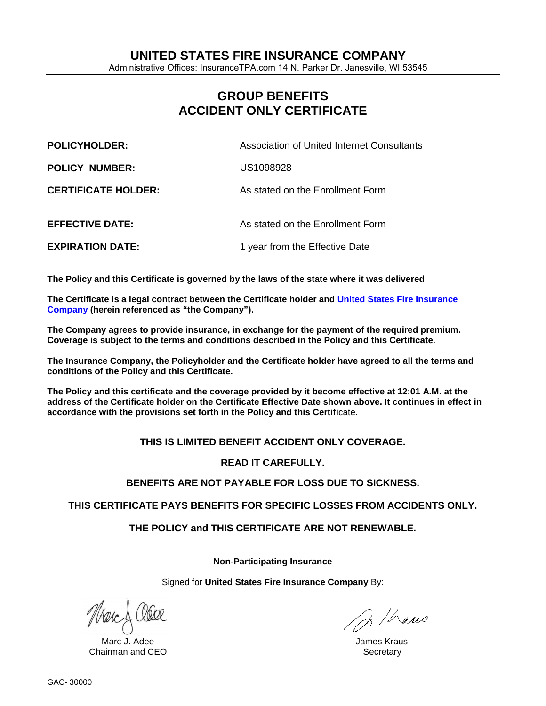Administrative Offices: InsuranceTPA.com 14 N. Parker Dr. Janesville, WI 53545

# **GROUP BENEFITS ACCIDENT ONLY CERTIFICATE**

| <b>POLICYHOLDER:</b>       | Association of United Internet Consultants |
|----------------------------|--------------------------------------------|
| <b>POLICY NUMBER:</b>      | US1098928                                  |
| <b>CERTIFICATE HOLDER:</b> | As stated on the Enrollment Form           |
| <b>EFFECTIVE DATE:</b>     | As stated on the Enrollment Form           |
| <b>EXPIRATION DATE:</b>    | 1 year from the Effective Date             |

**The Policy and this Certificate is governed by the laws of the state where it was delivered**

**The Certificate is a legal contract between the Certificate holder and United States Fire Insurance Company (herein referenced as "the Company").** 

**The Company agrees to provide insurance, in exchange for the payment of the required premium. Coverage is subject to the terms and conditions described in the Policy and this Certificate.**

**The Insurance Company, the Policyholder and the Certificate holder have agreed to all the terms and conditions of the Policy and this Certificate.** 

**The Policy and this certificate and the coverage provided by it become effective at 12:01 A.M. at the address of the Certificate holder on the Certificate Effective Date shown above. It continues in effect in accordance with the provisions set forth in the Policy and this Certifi**cate.

## **THIS IS LIMITED BENEFIT ACCIDENT ONLY COVERAGE.**

## **READ IT CAREFULLY.**

## **BENEFITS ARE NOT PAYABLE FOR LOSS DUE TO SICKNESS.**

**THIS CERTIFICATE PAYS BENEFITS FOR SPECIFIC LOSSES FROM ACCIDENTS ONLY.**

**THE POLICY and THIS CERTIFICATE ARE NOT RENEWABLE.**

**Non-Participating Insurance**

Signed for **United States Fire Insurance Company** By:

Marc J. Adee James Kraus Chairman and CEO **Secretary** Secretary Secretary Secretary Secretary Secretary Secretary Secretary Secretary Secretary Secretary Secretary Secretary Secretary Secretary Secretary Secretary Secretary Secretary Secretary Sec

B / hans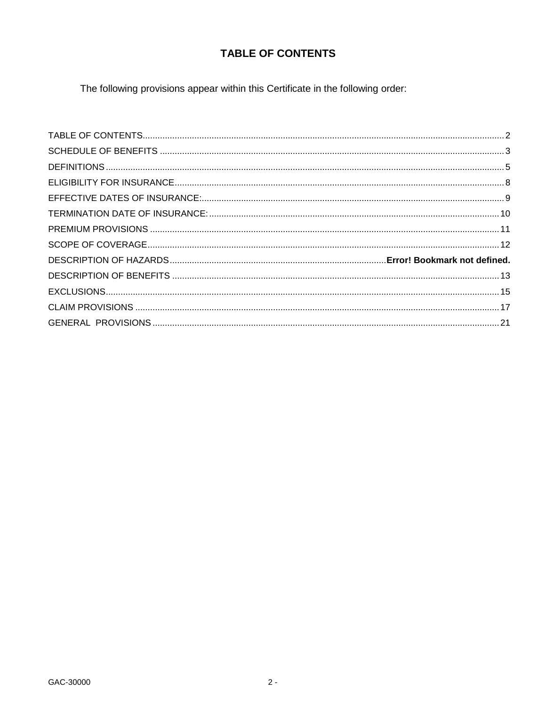# **TABLE OF CONTENTS**

<span id="page-1-0"></span>The following provisions appear within this Certificate in the following order: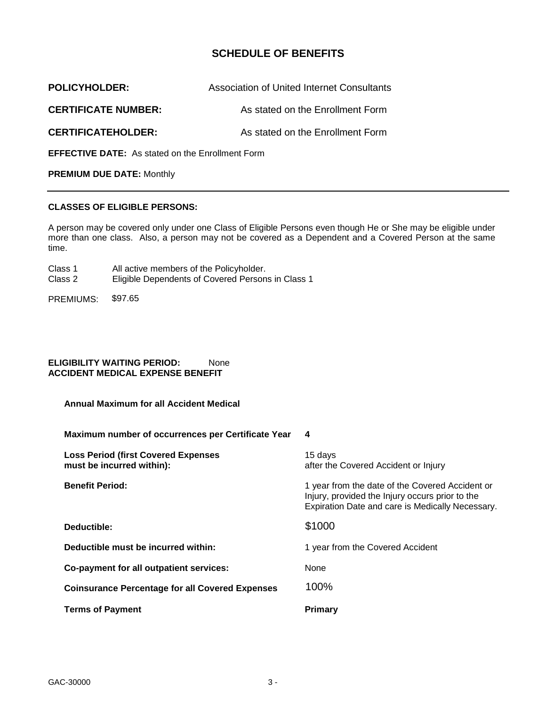## **SCHEDULE OF BENEFITS**

<span id="page-2-0"></span>

| <b>POLICYHOLDER:</b>                                    | <b>Association of United Internet Consultants</b> |  |
|---------------------------------------------------------|---------------------------------------------------|--|
| <b>CERTIFICATE NUMBER:</b>                              | As stated on the Enrollment Form                  |  |
| <b>CERTIFICATEHOLDER:</b>                               | As stated on the Enrollment Form                  |  |
| <b>EFFECTIVE DATE:</b> As stated on the Enrollment Form |                                                   |  |

**PREMIUM DUE DATE:** Monthly

## **CLASSES OF ELIGIBLE PERSONS:**

A person may be covered only under one Class of Eligible Persons even though He or She may be eligible under more than one class. Also, a person may not be covered as a Dependent and a Covered Person at the same time.

- Class 1 All active members of the Policyholder.
- Class 2 Eligible Dependents of Covered Persons in Class 1
- PREMIUMS: \$97.65

### **ELIGIBILITY WAITING PERIOD:** None **ACCIDENT MEDICAL EXPENSE BENEFIT**

| Maximum number of occurrences per Certificate Year                      |                                                                                                                                                        |
|-------------------------------------------------------------------------|--------------------------------------------------------------------------------------------------------------------------------------------------------|
| <b>Loss Period (first Covered Expenses</b><br>must be incurred within): | 15 days<br>after the Covered Accident or Injury                                                                                                        |
| <b>Benefit Period:</b>                                                  | 1 year from the date of the Covered Accident or<br>Injury, provided the Injury occurs prior to the<br>Expiration Date and care is Medically Necessary. |
| Deductible:                                                             | \$1000                                                                                                                                                 |
| Deductible must be incurred within:                                     | 1 year from the Covered Accident                                                                                                                       |
| Co-payment for all outpatient services:                                 | None                                                                                                                                                   |
| <b>Coinsurance Percentage for all Covered Expenses</b>                  | 100%                                                                                                                                                   |
| <b>Terms of Payment</b>                                                 | <b>Primary</b>                                                                                                                                         |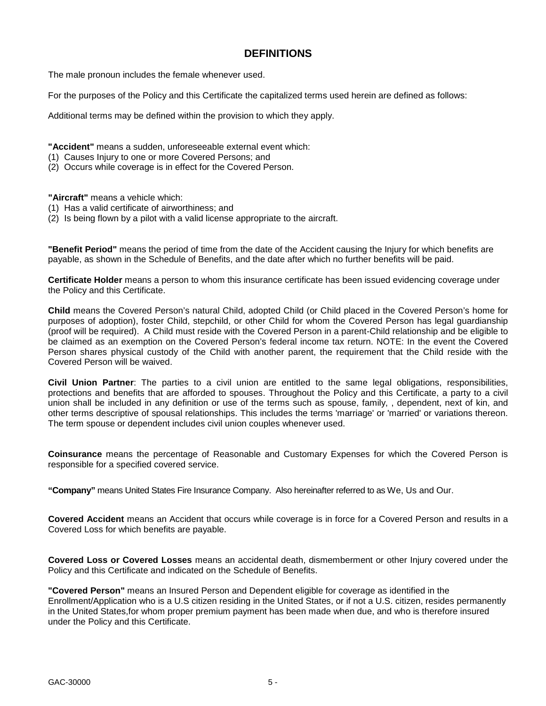## **DEFINITIONS**

The male pronoun includes the female whenever used.

For the purposes of the Policy and this Certificate the capitalized terms used herein are defined as follows:

Additional terms may be defined within the provision to which they apply.

**"Accident"** means a sudden, unforeseeable external event which:

- (1) Causes Injury to one or more Covered Persons; and
- (2) Occurs while coverage is in effect for the Covered Person.

## **"Aircraft"** means a vehicle which:

- (1) Has a valid certificate of airworthiness; and
- $(2)$  Is being flown by a pilot with a valid license appropriate to the aircraft.

**"Benefit Period"** means the period of time from the date of the Accident causing the Injury for which benefits are payable, as shown in the Schedule of Benefits, and the date after which no further benefits will be paid.

**Certificate Holder** means a person to whom this insurance certificate has been issued evidencing coverage under the Policy and this Certificate.

**Child** means the Covered Person's natural Child, adopted Child (or Child placed in the Covered Person's home for purposes of adoption), foster Child, stepchild, or other Child for whom the Covered Person has legal guardianship (proof will be required). A Child must reside with the Covered Person in a parent-Child relationship and be eligible to be claimed as an exemption on the Covered Person's federal income tax return. NOTE: In the event the Covered Person shares physical custody of the Child with another parent, the requirement that the Child reside with the Covered Person will be waived.

**Civil Union Partner**: The parties to a civil union are entitled to the same legal obligations, responsibilities, protections and benefits that are afforded to spouses. Throughout the Policy and this Certificate, a party to a civil union shall be included in any definition or use of the terms such as spouse, family, , dependent, next of kin, and other terms descriptive of spousal relationships. This includes the terms 'marriage' or 'married' or variations thereon. The term spouse or dependent includes civil union couples whenever used.

**Coinsurance** means the percentage of Reasonable and Customary Expenses for which the Covered Person is responsible for a specified covered service.

**"Company"** means United States Fire Insurance Company. Also hereinafter referred to as We, Us and Our.

**Covered Accident** means an Accident that occurs while coverage is in force for a Covered Person and results in a Covered Loss for which benefits are payable.

**Covered Loss or Covered Losses** means an accidental death, dismemberment or other Injury covered under the Policy and this Certificate and indicated on the Schedule of Benefits.

**"Covered Person"** means an Insured Person and Dependent eligible for coverage as identified in the Enrollment/Application who is a U.S citizen residing in the United States, or if not a U.S. citizen, resides permanently in the United States,for whom proper premium payment has been made when due, and who is therefore insured under the Policy and this Certificate.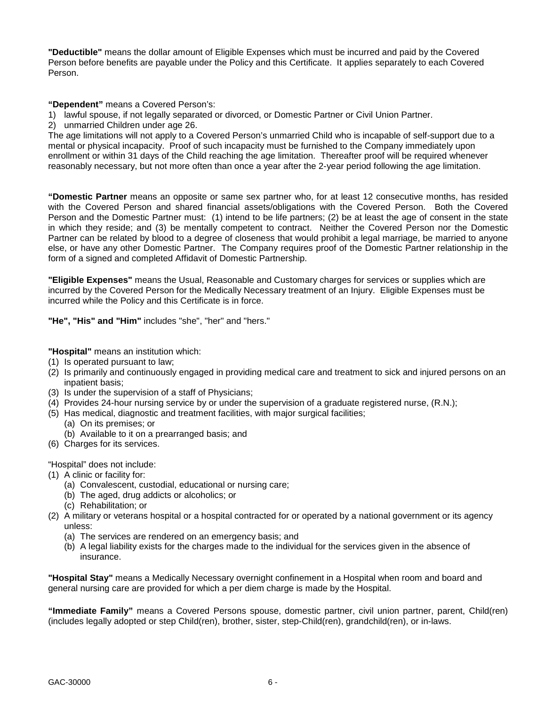**"Deductible"** means the dollar amount of Eligible Expenses which must be incurred and paid by the Covered Person before benefits are payable under the Policy and this Certificate. It applies separately to each Covered Person.

**"Dependent"** means a Covered Person's:

- 1) lawful spouse, if not legally separated or divorced, or Domestic Partner or Civil Union Partner.
- 2) unmarried Children under age 26.

The age limitations will not apply to a Covered Person's unmarried Child who is incapable of self-support due to a mental or physical incapacity. Proof of such incapacity must be furnished to the Company immediately upon enrollment or within 31 days of the Child reaching the age limitation. Thereafter proof will be required whenever reasonably necessary, but not more often than once a year after the 2-year period following the age limitation.

**"Domestic Partner** means an opposite or same sex partner who, for at least 12 consecutive months, has resided with the Covered Person and shared financial assets/obligations with the Covered Person. Both the Covered Person and the Domestic Partner must: (1) intend to be life partners; (2) be at least the age of consent in the state in which they reside; and (3) be mentally competent to contract. Neither the Covered Person nor the Domestic Partner can be related by blood to a degree of closeness that would prohibit a legal marriage, be married to anyone else, or have any other Domestic Partner. The Company requires proof of the Domestic Partner relationship in the form of a signed and completed Affidavit of Domestic Partnership.

**"Eligible Expenses"** means the Usual, Reasonable and Customary charges for services or supplies which are incurred by the Covered Person for the Medically Necessary treatment of an Injury. Eligible Expenses must be incurred while the Policy and this Certificate is in force.

**"He", "His" and "Him"** includes "she", "her" and "hers."

**"Hospital"** means an institution which:

- (1) Is operated pursuant to law;
- (2) Is primarily and continuously engaged in providing medical care and treatment to sick and injured persons on an inpatient basis;
- (3) Is under the supervision of a staff of Physicians;
- (4) Provides 24-hour nursing service by or under the supervision of a graduate registered nurse, (R.N.);
- (5) Has medical, diagnostic and treatment facilities, with major surgical facilities;
	- (a) On its premises; or
	- (b) Available to it on a prearranged basis; and
- (6) Charges for its services.

"Hospital" does not include:

- (1) A clinic or facility for:
	- (a) Convalescent, custodial, educational or nursing care;
	- (b) The aged, drug addicts or alcoholics; or
	- (c) Rehabilitation; or
- (2) A military or veterans hospital or a hospital contracted for or operated by a national government or its agency unless:
	- (a) The services are rendered on an emergency basis; and
	- (b) A legal liability exists for the charges made to the individual for the services given in the absence of insurance.

**"Hospital Stay"** means a Medically Necessary overnight confinement in a Hospital when room and board and general nursing care are provided for which a per diem charge is made by the Hospital.

**"Immediate Family"** means a Covered Persons spouse, domestic partner, civil union partner, parent, Child(ren) (includes legally adopted or step Child(ren), brother, sister, step-Child(ren), grandchild(ren), or in-laws.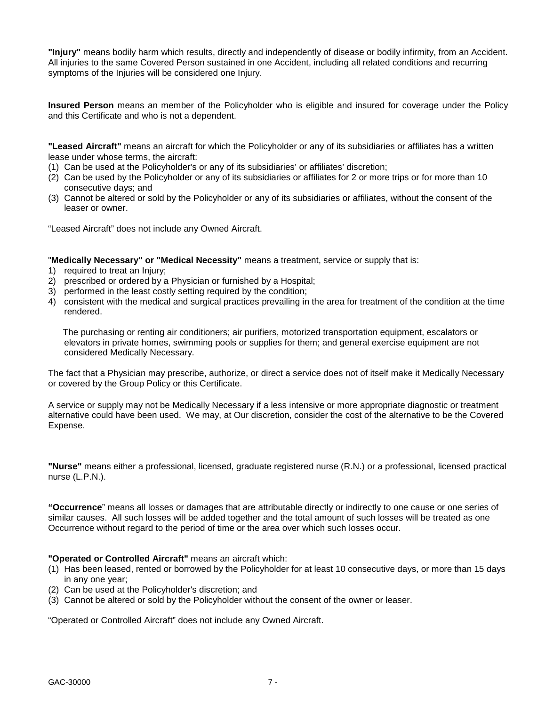**"Injury"** means bodily harm which results, directly and independently of disease or bodily infirmity, from an Accident. All injuries to the same Covered Person sustained in one Accident, including all related conditions and recurring symptoms of the Injuries will be considered one Injury.

**Insured Person** means an member of the Policyholder who is eligible and insured for coverage under the Policy and this Certificate and who is not a dependent.

**"Leased Aircraft"** means an aircraft for which the Policyholder or any of its subsidiaries or affiliates has a written lease under whose terms, the aircraft:

- (1) Can be used at the Policyholder's or any of its subsidiaries' or affiliates' discretion;
- (2) Can be used by the Policyholder or any of its subsidiaries or affiliates for 2 or more trips or for more than 10 consecutive days; and
- (3) Cannot be altered or sold by the Policyholder or any of its subsidiaries or affiliates, without the consent of the leaser or owner.

"Leased Aircraft" does not include any Owned Aircraft.

"**Medically Necessary" or "Medical Necessity"** means a treatment, service or supply that is:

- 1) required to treat an Injury;
- 2) prescribed or ordered by a Physician or furnished by a Hospital;
- 3) performed in the least costly setting required by the condition;
- 4) consistent with the medical and surgical practices prevailing in the area for treatment of the condition at the time rendered.

 The purchasing or renting air conditioners; air purifiers, motorized transportation equipment, escalators or elevators in private homes, swimming pools or supplies for them; and general exercise equipment are not considered Medically Necessary.

The fact that a Physician may prescribe, authorize, or direct a service does not of itself make it Medically Necessary or covered by the Group Policy or this Certificate.

A service or supply may not be Medically Necessary if a less intensive or more appropriate diagnostic or treatment alternative could have been used. We may, at Our discretion, consider the cost of the alternative to be the Covered Expense.

**"Nurse"** means either a professional, licensed, graduate registered nurse (R.N.) or a professional, licensed practical nurse (L.P.N.).

**"Occurrence**" means all losses or damages that are attributable directly or indirectly to one cause or one series of similar causes. All such losses will be added together and the total amount of such losses will be treated as one Occurrence without regard to the period of time or the area over which such losses occur.

### **"Operated or Controlled Aircraft"** means an aircraft which:

- (1) Has been leased, rented or borrowed by the Policyholder for at least 10 consecutive days, or more than 15 days in any one year;
- (2) Can be used at the Policyholder's discretion; and
- (3) Cannot be altered or sold by the Policyholder without the consent of the owner or leaser.

"Operated or Controlled Aircraft" does not include any Owned Aircraft.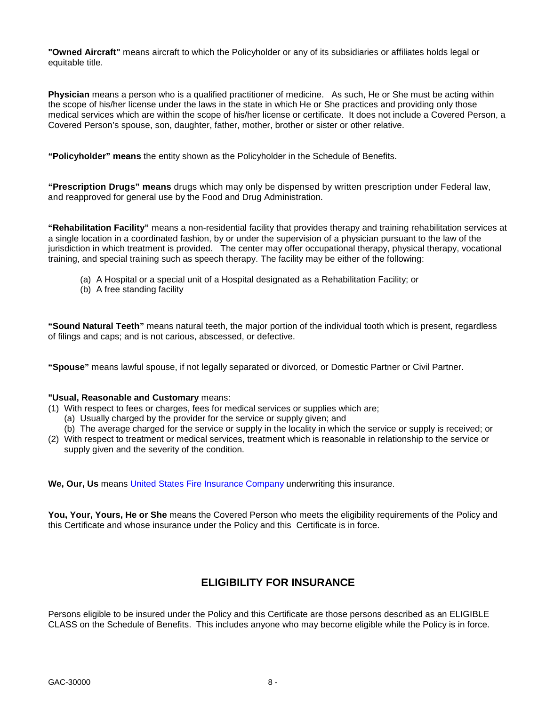**"Owned Aircraft"** means aircraft to which the Policyholder or any of its subsidiaries or affiliates holds legal or equitable title.

**Physician** means a person who is a qualified practitioner of medicine. As such, He or She must be acting within the scope of his/her license under the laws in the state in which He or She practices and providing only those medical services which are within the scope of his/her license or certificate. It does not include a Covered Person, a Covered Person's spouse, son, daughter, father, mother, brother or sister or other relative.

**"Policyholder" means** the entity shown as the Policyholder in the Schedule of Benefits.

**"Prescription Drugs" means** drugs which may only be dispensed by written prescription under Federal law, and reapproved for general use by the Food and Drug Administration.

**"Rehabilitation Facility"** means a non-residential facility that provides therapy and training rehabilitation services at a single location in a coordinated fashion, by or under the supervision of a physician pursuant to the law of the jurisdiction in which treatment is provided. The center may offer occupational therapy, physical therapy, vocational training, and special training such as speech therapy. The facility may be either of the following:

- (a) A Hospital or a special unit of a Hospital designated as a Rehabilitation Facility; or
- (b) A free standing facility

**"Sound Natural Teeth"** means natural teeth, the major portion of the individual tooth which is present, regardless of filings and caps; and is not carious, abscessed, or defective.

**"Spouse"** means lawful spouse, if not legally separated or divorced, or Domestic Partner or Civil Partner.

### **"Usual, Reasonable and Customary** means:

- (1) With respect to fees or charges, fees for medical services or supplies which are;
	- (a) Usually charged by the provider for the service or supply given; and
	- (b) The average charged for the service or supply in the locality in which the service or supply is received; or
- (2) With respect to treatment or medical services, treatment which is reasonable in relationship to the service or supply given and the severity of the condition.

**We, Our, Us** means United States Fire Insurance Company underwriting this insurance.

**You, Your, Yours, He or She** means the Covered Person who meets the eligibility requirements of the Policy and this Certificate and whose insurance under the Policy and this Certificate is in force.

## **ELIGIBILITY FOR INSURANCE**

<span id="page-7-0"></span>Persons eligible to be insured under the Policy and this Certificate are those persons described as an ELIGIBLE CLASS on the Schedule of Benefits. This includes anyone who may become eligible while the Policy is in force.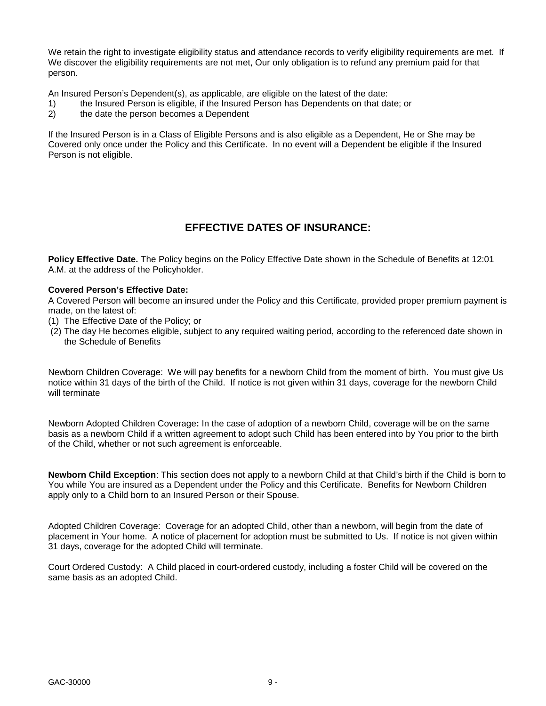We retain the right to investigate eligibility status and attendance records to verify eligibility requirements are met. If We discover the eligibility requirements are not met, Our only obligation is to refund any premium paid for that person.

An Insured Person's Dependent(s), as applicable, are eligible on the latest of the date:

- 1) the Insured Person is eligible, if the Insured Person has Dependents on that date; or
- 2) the date the person becomes a Dependent

If the Insured Person is in a Class of Eligible Persons and is also eligible as a Dependent, He or She may be Covered only once under the Policy and this Certificate. In no event will a Dependent be eligible if the Insured Person is not eligible.

## **EFFECTIVE DATES OF INSURANCE:**

<span id="page-8-0"></span>**Policy Effective Date.** The Policy begins on the Policy Effective Date shown in the Schedule of Benefits at 12:01 A.M. at the address of the Policyholder.

### **Covered Person's Effective Date:**

A Covered Person will become an insured under the Policy and this Certificate, provided proper premium payment is made, on the latest of:

- (1) The Effective Date of the Policy; or
- (2) The day He becomes eligible, subject to any required waiting period, according to the referenced date shown in the Schedule of Benefits

Newborn Children Coverage: We will pay benefits for a newborn Child from the moment of birth. You must give Us notice within 31 days of the birth of the Child. If notice is not given within 31 days, coverage for the newborn Child will terminate

Newborn Adopted Children Coverage**:** In the case of adoption of a newborn Child, coverage will be on the same basis as a newborn Child if a written agreement to adopt such Child has been entered into by You prior to the birth of the Child, whether or not such agreement is enforceable.

**Newborn Child Exception**: This section does not apply to a newborn Child at that Child's birth if the Child is born to You while You are insured as a Dependent under the Policy and this Certificate. Benefits for Newborn Children apply only to a Child born to an Insured Person or their Spouse.

Adopted Children Coverage: Coverage for an adopted Child, other than a newborn, will begin from the date of placement in Your home. A notice of placement for adoption must be submitted to Us. If notice is not given within 31 days, coverage for the adopted Child will terminate.

Court Ordered Custody: A Child placed in court-ordered custody, including a foster Child will be covered on the same basis as an adopted Child.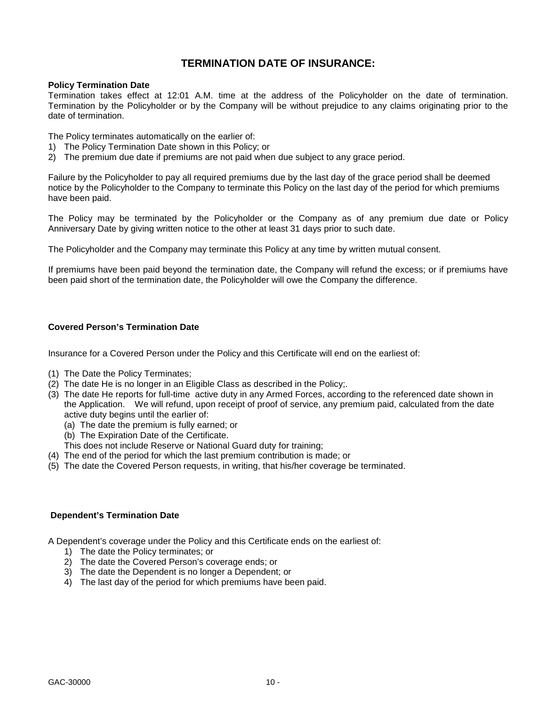## **TERMINATION DATE OF INSURANCE:**

#### <span id="page-9-0"></span>**Policy Termination Date**

Termination takes effect at 12:01 A.M. time at the address of the Policyholder on the date of termination. Termination by the Policyholder or by the Company will be without prejudice to any claims originating prior to the date of termination.

The Policy terminates automatically on the earlier of:

- 1) The Policy Termination Date shown in this Policy; or
- 2) The premium due date if premiums are not paid when due subject to any grace period.

Failure by the Policyholder to pay all required premiums due by the last day of the grace period shall be deemed notice by the Policyholder to the Company to terminate this Policy on the last day of the period for which premiums have been paid.

The Policy may be terminated by the Policyholder or the Company as of any premium due date or Policy Anniversary Date by giving written notice to the other at least 31 days prior to such date.

The Policyholder and the Company may terminate this Policy at any time by written mutual consent.

If premiums have been paid beyond the termination date, the Company will refund the excess; or if premiums have been paid short of the termination date, the Policyholder will owe the Company the difference.

#### **Covered Person's Termination Date**

Insurance for a Covered Person under the Policy and this Certificate will end on the earliest of:

- (1) The Date the Policy Terminates;
- (2) The date He is no longer in an Eligible Class as described in the Policy;.
- (3) The date He reports for full-time active duty in any Armed Forces, according to the referenced date shown in the Application. We will refund, upon receipt of proof of service, any premium paid, calculated from the date active duty begins until the earlier of:
	- (a) The date the premium is fully earned; or
	- (b) The Expiration Date of the Certificate.
	- This does not include Reserve or National Guard duty for training;
- (4) The end of the period for which the last premium contribution is made; or
- (5) The date the Covered Person requests, in writing, that his/her coverage be terminated.

### **Dependent's Termination Date**

A Dependent's coverage under the Policy and this Certificate ends on the earliest of:

- 1) The date the Policy terminates; or
- 2) The date the Covered Person's coverage ends; or
- 3) The date the Dependent is no longer a Dependent; or
- 4) The last day of the period for which premiums have been paid.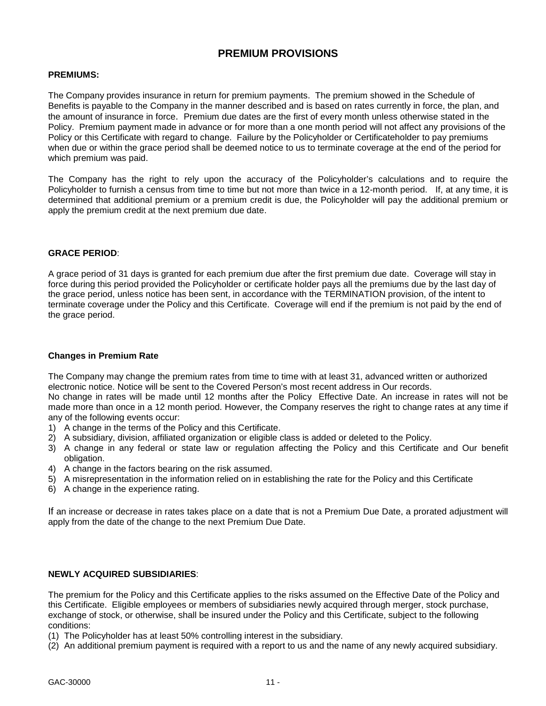## **PREMIUM PROVISIONS**

## <span id="page-10-0"></span>**PREMIUMS:**

The Company provides insurance in return for premium payments. The premium showed in the Schedule of Benefits is payable to the Company in the manner described and is based on rates currently in force, the plan, and the amount of insurance in force. Premium due dates are the first of every month unless otherwise stated in the Policy. Premium payment made in advance or for more than a one month period will not affect any provisions of the Policy or this Certificate with regard to change.Failure by the Policyholder or Certificateholder to pay premiums when due or within the grace period shall be deemed notice to us to terminate coverage at the end of the period for which premium was paid.

The Company has the right to rely upon the accuracy of the Policyholder's calculations and to require the Policyholder to furnish a census from time to time but not more than twice in a 12-month period. If, at any time, it is determined that additional premium or a premium credit is due, the Policyholder will pay the additional premium or apply the premium credit at the next premium due date.

### **GRACE PERIOD**:

A grace period of 31 days is granted for each premium due after the first premium due date. Coverage will stay in force during this period provided the Policyholder or certificate holder pays all the premiums due by the last day of the grace period, unless notice has been sent, in accordance with the TERMINATION provision, of the intent to terminate coverage under the Policy and this Certificate. Coverage will end if the premium is not paid by the end of the grace period.

## **Changes in Premium Rate**

The Company may change the premium rates from time to time with at least 31, advanced written or authorized electronic notice. Notice will be sent to the Covered Person's most recent address in Our records. No change in rates will be made until 12 months after the Policy Effective Date. An increase in rates will not be made more than once in a 12 month period. However, the Company reserves the right to change rates at any time if any of the following events occur:

- 1) A change in the terms of the Policy and this Certificate.
- 2) A subsidiary, division, affiliated organization or eligible class is added or deleted to the Policy.
- 3) A change in any federal or state law or regulation affecting the Policy and this Certificate and Our benefit obligation.
- 4) A change in the factors bearing on the risk assumed.
- 5) A misrepresentation in the information relied on in establishing the rate for the Policy and this Certificate
- 6) A change in the experience rating.

If an increase or decrease in rates takes place on a date that is not a Premium Due Date, a prorated adjustment will apply from the date of the change to the next Premium Due Date.

## **NEWLY ACQUIRED SUBSIDIARIES**:

The premium for the Policy and this Certificate applies to the risks assumed on the Effective Date of the Policy and this Certificate. Eligible employees or members of subsidiaries newly acquired through merger, stock purchase, exchange of stock, or otherwise, shall be insured under the Policy and this Certificate, subject to the following conditions:

(1) The Policyholder has at least 50% controlling interest in the subsidiary.

(2) An additional premium payment is required with a report to us and the name of any newly acquired subsidiary.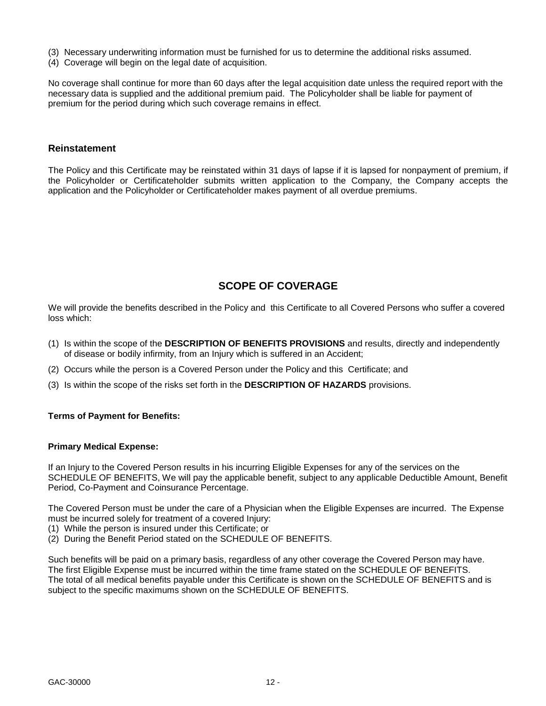- (3) Necessary underwriting information must be furnished for us to determine the additional risks assumed.
- (4) Coverage will begin on the legal date of acquisition.

No coverage shall continue for more than 60 days after the legal acquisition date unless the required report with the necessary data is supplied and the additional premium paid. The Policyholder shall be liable for payment of premium for the period during which such coverage remains in effect.

#### **Reinstatement**

The Policy and this Certificate may be reinstated within 31 days of lapse if it is lapsed for nonpayment of premium, if the Policyholder or Certificateholder submits written application to the Company, the Company accepts the application and the Policyholder or Certificateholder makes payment of all overdue premiums.

## **SCOPE OF COVERAGE**

<span id="page-11-0"></span>We will provide the benefits described in the Policy and this Certificate to all Covered Persons who suffer a covered loss which:

- (1) Is within the scope of the **DESCRIPTION OF BENEFITS PROVISIONS** and results, directly and independently of disease or bodily infirmity, from an Injury which is suffered in an Accident;
- (2) Occurs while the person is a Covered Person under the Policy and this Certificate; and
- (3) Is within the scope of the risks set forth in the **DESCRIPTION OF HAZARDS** provisions.

### **Terms of Payment for Benefits:**

#### **Primary Medical Expense:**

If an Injury to the Covered Person results in his incurring Eligible Expenses for any of the services on the SCHEDULE OF BENEFITS, We will pay the applicable benefit, subject to any applicable Deductible Amount, Benefit Period, Co-Payment and Coinsurance Percentage.

The Covered Person must be under the care of a Physician when the Eligible Expenses are incurred. The Expense must be incurred solely for treatment of a covered Injury:

- (1) While the person is insured under this Certificate; or
- (2) During the Benefit Period stated on the SCHEDULE OF BENEFITS.

Such benefits will be paid on a primary basis, regardless of any other coverage the Covered Person may have. The first Eligible Expense must be incurred within the time frame stated on the SCHEDULE OF BENEFITS. The total of all medical benefits payable under this Certificate is shown on the SCHEDULE OF BENEFITS and is subject to the specific maximums shown on the SCHEDULE OF BENEFITS.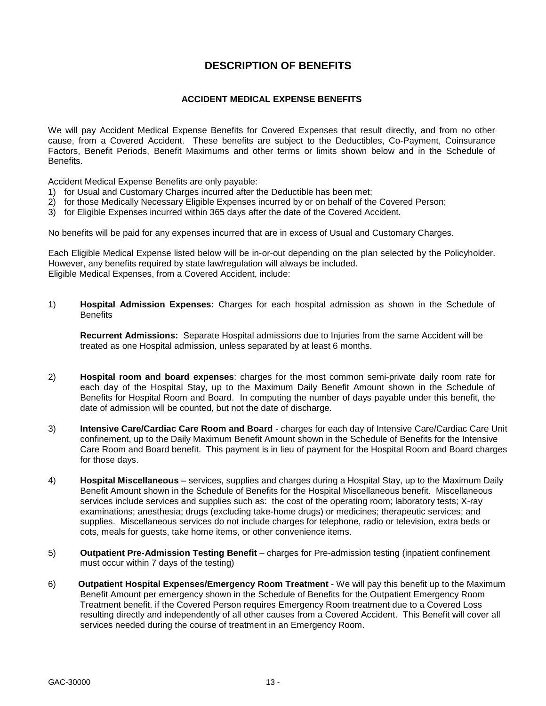## **DESCRIPTION OF BENEFITS**

## **ACCIDENT MEDICAL EXPENSE BENEFITS**

<span id="page-12-0"></span>We will pay Accident Medical Expense Benefits for Covered Expenses that result directly, and from no other cause, from a Covered Accident. These benefits are subject to the Deductibles, Co-Payment, Coinsurance Factors, Benefit Periods, Benefit Maximums and other terms or limits shown below and in the Schedule of **Benefits** 

Accident Medical Expense Benefits are only payable:

- 1) for Usual and Customary Charges incurred after the Deductible has been met;
- 2) for those Medically Necessary Eligible Expenses incurred by or on behalf of the Covered Person;
- 3) for Eligible Expenses incurred within 365 days after the date of the Covered Accident.

No benefits will be paid for any expenses incurred that are in excess of Usual and Customary Charges.

Each Eligible Medical Expense listed below will be in-or-out depending on the plan selected by the Policyholder. However, any benefits required by state law/regulation will always be included. Eligible Medical Expenses, from a Covered Accident, include:

1) **Hospital Admission Expenses:** Charges for each hospital admission as shown in the Schedule of **Benefits** 

**Recurrent Admissions:** Separate Hospital admissions due to Injuries from the same Accident will be treated as one Hospital admission, unless separated by at least 6 months.

- 2) **Hospital room and board expenses**: charges for the most common semi-private daily room rate for each day of the Hospital Stay, up to the Maximum Daily Benefit Amount shown in the Schedule of Benefits for Hospital Room and Board. In computing the number of days payable under this benefit, the date of admission will be counted, but not the date of discharge.
- 3) **Intensive Care/Cardiac Care Room and Board** charges for each day of Intensive Care/Cardiac Care Unit confinement, up to the Daily Maximum Benefit Amount shown in the Schedule of Benefits for the Intensive Care Room and Board benefit. This payment is in lieu of payment for the Hospital Room and Board charges for those days.
- 4) **Hospital Miscellaneous** services, supplies and charges during a Hospital Stay, up to the Maximum Daily Benefit Amount shown in the Schedule of Benefits for the Hospital Miscellaneous benefit. Miscellaneous services include services and supplies such as: the cost of the operating room; laboratory tests; X-ray examinations; anesthesia; drugs (excluding take-home drugs) or medicines; therapeutic services; and supplies. Miscellaneous services do not include charges for telephone, radio or television, extra beds or cots, meals for guests, take home items, or other convenience items.
- 5) **Outpatient Pre-Admission Testing Benefit**  charges for Pre-admission testing (inpatient confinement must occur within 7 days of the testing)
- 6) **Outpatient Hospital Expenses/Emergency Room Treatment** We will pay this benefit up to the Maximum Benefit Amount per emergency shown in the Schedule of Benefits for the Outpatient Emergency Room Treatment benefit. if the Covered Person requires Emergency Room treatment due to a Covered Loss resulting directly and independently of all other causes from a Covered Accident. This Benefit will cover all services needed during the course of treatment in an Emergency Room.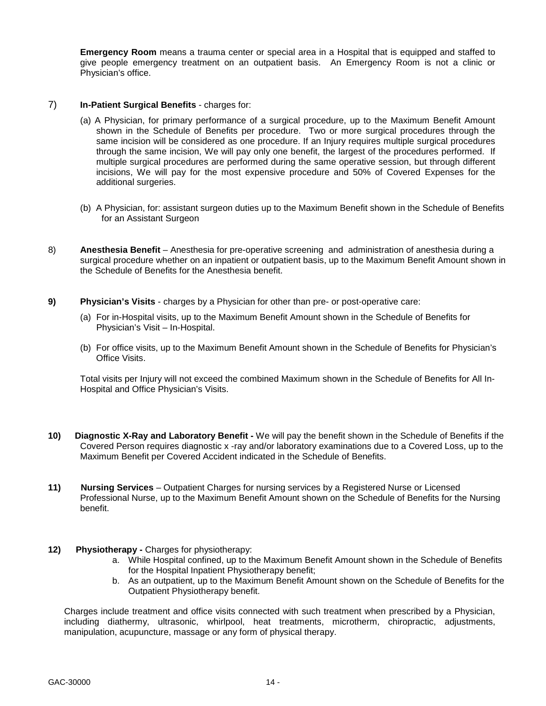**Emergency Room** means a trauma center or special area in a Hospital that is equipped and staffed to give people emergency treatment on an outpatient basis. An Emergency Room is not a clinic or Physician's office.

## 7) **In-Patient Surgical Benefits** - charges for:

- (a) A Physician, for primary performance of a surgical procedure, up to the Maximum Benefit Amount shown in the Schedule of Benefits per procedure. Two or more surgical procedures through the same incision will be considered as one procedure. If an Injury requires multiple surgical procedures through the same incision, We will pay only one benefit, the largest of the procedures performed. If multiple surgical procedures are performed during the same operative session, but through different incisions, We will pay for the most expensive procedure and 50% of Covered Expenses for the additional surgeries.
- (b) A Physician, for: assistant surgeon duties up to the Maximum Benefit shown in the Schedule of Benefits for an Assistant Surgeon
- 8) **Anesthesia Benefit**  Anesthesia for pre-operative screening and administration of anesthesia during a surgical procedure whether on an inpatient or outpatient basis, up to the Maximum Benefit Amount shown in the Schedule of Benefits for the Anesthesia benefit.
- **9) Physician's Visits** charges by a Physician for other than pre- or post-operative care:
	- (a) For in-Hospital visits, up to the Maximum Benefit Amount shown in the Schedule of Benefits for Physician's Visit – In-Hospital.
	- (b) For office visits, up to the Maximum Benefit Amount shown in the Schedule of Benefits for Physician's Office Visits.

Total visits per Injury will not exceed the combined Maximum shown in the Schedule of Benefits for All In-Hospital and Office Physician's Visits.

- **10) Diagnostic X-Ray and Laboratory Benefit** We will pay the benefit shown in the Schedule of Benefits if the Covered Person requires diagnostic x -ray and/or laboratory examinations due to a Covered Loss, up to the Maximum Benefit per Covered Accident indicated in the Schedule of Benefits.
- **11) Nursing Services** Outpatient Charges for nursing services by a Registered Nurse or Licensed Professional Nurse, up to the Maximum Benefit Amount shown on the Schedule of Benefits for the Nursing benefit.
- **12)** Physiotherapy Charges for physiotherapy:
	- a. While Hospital confined, up to the Maximum Benefit Amount shown in the Schedule of Benefits for the Hospital Inpatient Physiotherapy benefit;
	- b. As an outpatient, up to the Maximum Benefit Amount shown on the Schedule of Benefits for the Outpatient Physiotherapy benefit.

Charges include treatment and office visits connected with such treatment when prescribed by a Physician, including diathermy, ultrasonic, whirlpool, heat treatments, microtherm, chiropractic, adjustments, manipulation, acupuncture, massage or any form of physical therapy.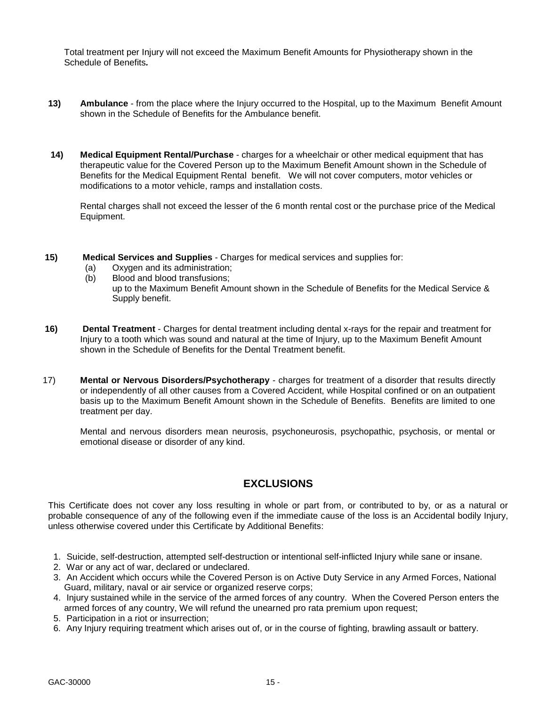Total treatment per Injury will not exceed the Maximum Benefit Amounts for Physiotherapy shown in the Schedule of Benefits*.* 

- **13) Ambulance** from the place where the Injury occurred to the Hospital, up to the Maximum Benefit Amount shown in the Schedule of Benefits for the Ambulance benefit.
- **14) Medical Equipment Rental/Purchase** charges for a wheelchair or other medical equipment that has therapeutic value for the Covered Person up to the Maximum Benefit Amount shown in the Schedule of Benefits for the Medical Equipment Rental benefit. We will not cover computers, motor vehicles or modifications to a motor vehicle, ramps and installation costs.

Rental charges shall not exceed the lesser of the 6 month rental cost or the purchase price of the Medical Equipment.

- **15) Medical Services and Supplies** Charges for medical services and supplies for:
	- (a) Oxygen and its administration;
	- (b) Blood and blood transfusions; up to the Maximum Benefit Amount shown in the Schedule of Benefits for the Medical Service & Supply benefit.
- **16) Dental Treatment** Charges for dental treatment including dental x-rays for the repair and treatment for Injury to a tooth which was sound and natural at the time of Injury, up to the Maximum Benefit Amount shown in the Schedule of Benefits for the Dental Treatment benefit.
- 17) **Mental or Nervous Disorders/Psychotherapy** charges for treatment of a disorder that results directly or independently of all other causes from a Covered Accident, while Hospital confined or on an outpatient basis up to the Maximum Benefit Amount shown in the Schedule of Benefits. Benefits are limited to one treatment per day.

Mental and nervous disorders mean neurosis, psychoneurosis, psychopathic, psychosis, or mental or emotional disease or disorder of any kind.

## **EXCLUSIONS**

<span id="page-14-0"></span>This Certificate does not cover any loss resulting in whole or part from, or contributed to by, or as a natural or probable consequence of any of the following even if the immediate cause of the loss is an Accidental bodily Injury, unless otherwise covered under this Certificate by Additional Benefits:

- 1. Suicide, self-destruction, attempted self-destruction or intentional self-inflicted Injury while sane or insane.
- 2. War or any act of war, declared or undeclared.
- 3. An Accident which occurs while the Covered Person is on Active Duty Service in any Armed Forces, National Guard, military, naval or air service or organized reserve corps;
- 4. Injury sustained while in the service of the armed forces of any country. When the Covered Person enters the armed forces of any country, We will refund the unearned pro rata premium upon request;
- 5. Participation in a riot or insurrection;
- 6. Any Injury requiring treatment which arises out of, or in the course of fighting, brawling assault or battery.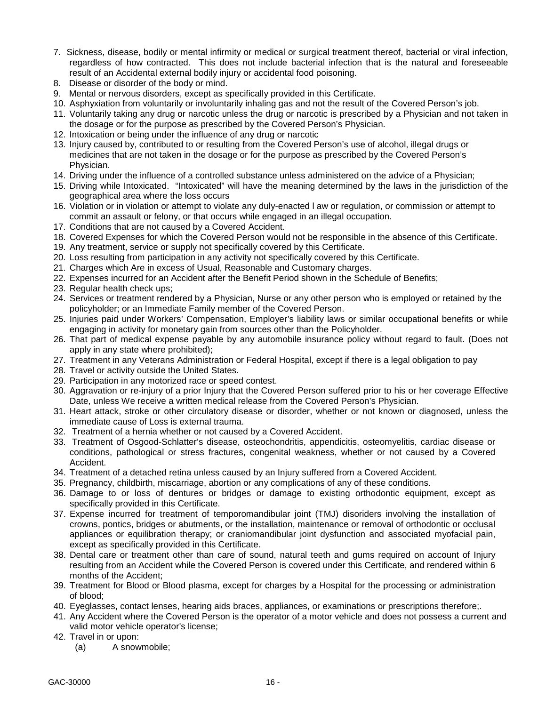- 7. Sickness, disease, bodily or mental infirmity or medical or surgical treatment thereof, bacterial or viral infection, regardless of how contracted. This does not include bacterial infection that is the natural and foreseeable result of an Accidental external bodily injury or accidental food poisoning.
- 8. Disease or disorder of the body or mind.
- 9. Mental or nervous disorders, except as specifically provided in this Certificate.
- 10. Asphyxiation from voluntarily or involuntarily inhaling gas and not the result of the Covered Person's job.
- 11. Voluntarily taking any drug or narcotic unless the drug or narcotic is prescribed by a Physician and not taken in the dosage or for the purpose as prescribed by the Covered Person's Physician.
- 12. Intoxication or being under the influence of any drug or narcotic
- 13. Injury caused by, contributed to or resulting from the Covered Person's use of alcohol, illegal drugs or medicines that are not taken in the dosage or for the purpose as prescribed by the Covered Person's Physician.
- 14. Driving under the influence of a controlled substance unless administered on the advice of a Physician;
- 15. Driving while Intoxicated. "Intoxicated" will have the meaning determined by the laws in the jurisdiction of the geographical area where the loss occurs
- 16. Violation or in violation or attempt to violate any duly-enacted l aw or regulation, or commission or attempt to commit an assault or felony, or that occurs while engaged in an illegal occupation.
- 17. Conditions that are not caused by a Covered Accident.
- 18. Covered Expenses for which the Covered Person would not be responsible in the absence of this Certificate.
- 19. Any treatment, service or supply not specifically covered by this Certificate.
- 20. Loss resulting from participation in any activity not specifically covered by this Certificate.
- 21. Charges which Are in excess of Usual, Reasonable and Customary charges.
- 22. Expenses incurred for an Accident after the Benefit Period shown in the Schedule of Benefits;
- 23. Regular health check ups;
- 24. Services or treatment rendered by a Physician, Nurse or any other person who is employed or retained by the policyholder; or an Immediate Family member of the Covered Person.
- 25. Injuries paid under Workers' Compensation, Employer's liability laws or similar occupational benefits or while engaging in activity for monetary gain from sources other than the Policyholder.
- 26. That part of medical expense payable by any automobile insurance policy without regard to fault. (Does not apply in any state where prohibited);
- 27. Treatment in any Veterans Administration or Federal Hospital, except if there is a legal obligation to pay
- 28. Travel or activity outside the United States.
- 29. Participation in any motorized race or speed contest.
- 30. Aggravation or re-injury of a prior Injury that the Covered Person suffered prior to his or her coverage Effective Date, unless We receive a written medical release from the Covered Person's Physician.
- 31. Heart attack, stroke or other circulatory disease or disorder, whether or not known or diagnosed, unless the immediate cause of Loss is external trauma.
- 32. Treatment of a hernia whether or not caused by a Covered Accident.
- 33. Treatment of Osgood-Schlatter's disease, osteochondritis, appendicitis, osteomyelitis, cardiac disease or conditions, pathological or stress fractures, congenital weakness, whether or not caused by a Covered Accident.
- 34. Treatment of a detached retina unless caused by an Injury suffered from a Covered Accident.
- 35. Pregnancy, childbirth, miscarriage, abortion or any complications of any of these conditions.
- 36. Damage to or loss of dentures or bridges or damage to existing orthodontic equipment, except as specifically provided in this Certificate.
- 37. Expense incurred for treatment of temporomandibular joint (TMJ) disoriders involving the installation of crowns, pontics, bridges or abutments, or the installation, maintenance or removal of orthodontic or occlusal appliances or equilibration therapy; or craniomandibular joint dysfunction and associated myofacial pain, except as specifically provided in this Certificate.
- 38. Dental care or treatment other than care of sound, natural teeth and gums required on account of Injury resulting from an Accident while the Covered Person is covered under this Certificate, and rendered within 6 months of the Accident;
- 39. Treatment for Blood or Blood plasma, except for charges by a Hospital for the processing or administration of blood;
- 40. Eyeglasses, contact lenses, hearing aids braces, appliances, or examinations or prescriptions therefore;.
- 41. Any Accident where the Covered Person is the operator of a motor vehicle and does not possess a current and valid motor vehicle operator's license;
- 42. Travel in or upon:
	- (a) A snowmobile;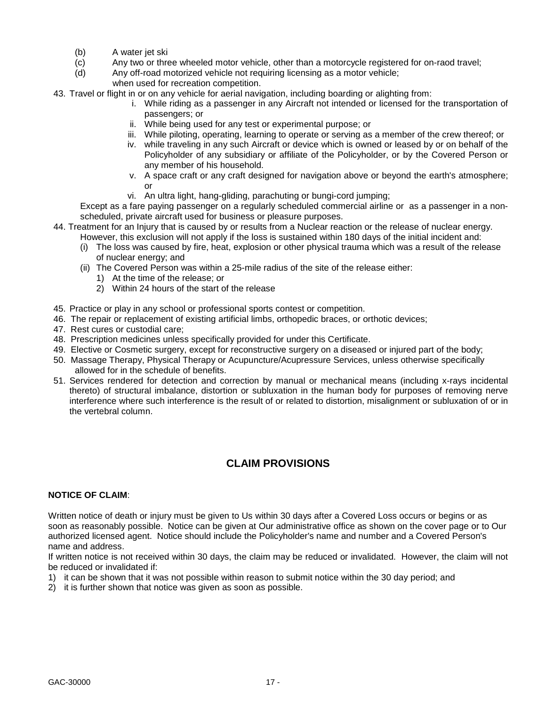- (b) A water jet ski
- (c) Any two or three wheeled motor vehicle, other than a motorcycle registered for on-raod travel;
- (d) Any off-road motorized vehicle not requiring licensing as a motor vehicle;
	- when used for recreation competition.
- 43. Travel or flight in or on any vehicle for aerial navigation, including boarding or alighting from:
	- i. While riding as a passenger in any Aircraft not intended or licensed for the transportation of passengers; or
	- ii. While being used for any test or experimental purpose; or
	- iii. While piloting, operating, learning to operate or serving as a member of the crew thereof; or
	- iv. while traveling in any such Aircraft or device which is owned or leased by or on behalf of the Policyholder of any subsidiary or affiliate of the Policyholder, or by the Covered Person or any member of his household.
	- v. A space craft or any craft designed for navigation above or beyond the earth's atmosphere; or
	- vi. An ultra light, hang-gliding, parachuting or bungi-cord jumping;

Except as a fare paying passenger on a regularly scheduled commercial airline or as a passenger in a nonscheduled, private aircraft used for business or pleasure purposes.

- 44. Treatment for an Injury that is caused by or results from a Nuclear reaction or the release of nuclear energy. However, this exclusion will not apply if the loss is sustained within 180 days of the initial incident and:
	- (i) The loss was caused by fire, heat, explosion or other physical trauma which was a result of the release of nuclear energy; and
	- (ii) The Covered Person was within a 25-mile radius of the site of the release either:
		- 1) At the time of the release; or
		- 2) Within 24 hours of the start of the release
- 45. Practice or play in any school or professional sports contest or competition.
- 46. The repair or replacement of existing artificial limbs, orthopedic braces, or orthotic devices;
- 47. Rest cures or custodial care;
- 48. Prescription medicines unless specifically provided for under this Certificate.
- 49. Elective or Cosmetic surgery, except for reconstructive surgery on a diseased or injured part of the body;
- 50.Massage Therapy, Physical Therapy or Acupuncture/Acupressure Services, unless otherwise specifically allowed for in the schedule of benefits.
- 51. Services rendered for detection and correction by manual or mechanical means (including x-rays incidental thereto) of structural imbalance, distortion or subluxation in the human body for purposes of removing nerve interference where such interference is the result of or related to distortion, misalignment or subluxation of or in the vertebral column.

## **CLAIM PROVISIONS**

## <span id="page-16-0"></span>**NOTICE OF CLAIM**:

Written notice of death or injury must be given to Us within 30 days after a Covered Loss occurs or begins or as soon as reasonably possible. Notice can be given at Our administrative office as shown on the cover page or to Our authorized licensed agent. Notice should include the Policyholder's name and number and a Covered Person's name and address.

If written notice is not received within 30 days, the claim may be reduced or invalidated. However, the claim will not be reduced or invalidated if:

- 1) it can be shown that it was not possible within reason to submit notice within the 30 day period; and
- 2) it is further shown that notice was given as soon as possible.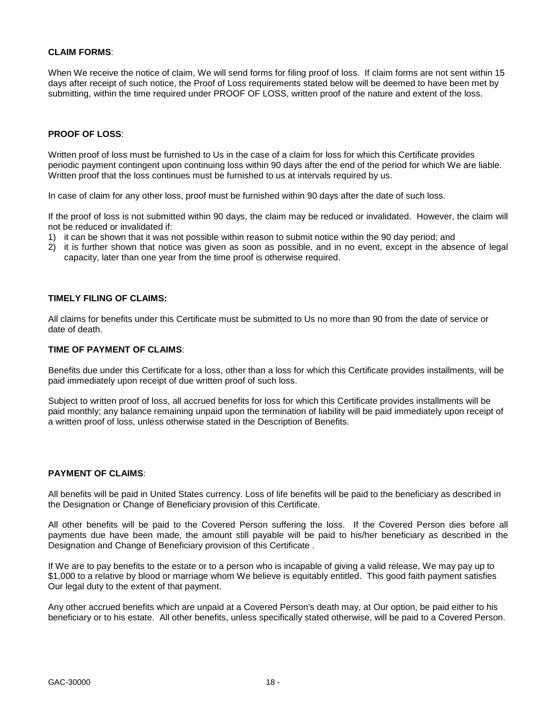## **CLAIM FORMS**:

When We receive the notice of claim, We will send forms for filing proof of loss. If claim forms are not sent within 15 days after receipt of such notice, the Proof of Loss requirements stated below will be deemed to have been met by submitting, within the time required under PROOF OF LOSS, written proof of the nature and extent of the loss.

### **PROOF OF LOSS**:

Written proof of loss must be furnished to Us in the case of a claim for loss for which this Certificate provides periodic payment contingent upon continuing loss within 90 days after the end of the period for which We are liable. Written proof that the loss continues must be furnished to us at intervals required by us.

In case of claim for any other loss, proof must be furnished within 90 days after the date of such loss.

If the proof of loss is not submitted within 90 days, the claim may be reduced or invalidated. However, the claim will not be reduced or invalidated if:

- 1) it can be shown that it was not possible within reason to submit notice within the 90 day period; and
- 2) it is further shown that notice was given as soon as possible, and in no event, except in the absence of legal capacity, later than one year from the time proof is otherwise required.

### **TIMELY FILING OF CLAIMS:**

All claims for benefits under this Certificate must be submitted to Us no more than 90 from the date of service or date of death.

## **TIME OF PAYMENT OF CLAIMS**:

Benefits due under this Certificate for a loss, other than a loss for which this Certificate provides installments, will be paid immediately upon receipt of due written proof of such loss.

Subject to written proof of loss, all accrued benefits for loss for which this Certificate provides installments will be paid monthly; any balance remaining unpaid upon the termination of liability will be paid immediately upon receipt of a written proof of loss, unless otherwise stated in the Description of Benefits.

### **PAYMENT OF CLAIMS**:

All benefits will be paid in United States currency. Loss of life benefits will be paid to the beneficiary as described in the Designation or Change of Beneficiary provision of this Certificate.

All other benefits will be paid to the Covered Person suffering the loss. If the Covered Person dies before all payments due have been made, the amount still payable will be paid to his/her beneficiary as described in the Designation and Change of Beneficiary provision of this Certificate .

If We are to pay benefits to the estate or to a person who is incapable of giving a valid release, We may pay up to \$1,000 to a relative by blood or marriage whom We believe is equitably entitled. This good faith payment satisfies Our legal duty to the extent of that payment.

Any other accrued benefits which are unpaid at a Covered Person's death may, at Our option, be paid either to his beneficiary or to his estate. All other benefits, unless specifically stated otherwise, will be paid to a Covered Person.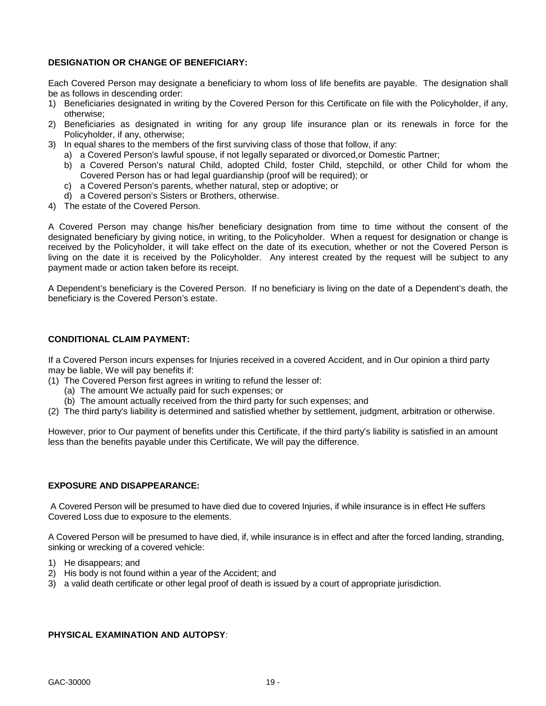## **DESIGNATION OR CHANGE OF BENEFICIARY:**

Each Covered Person may designate a beneficiary to whom loss of life benefits are payable. The designation shall be as follows in descending order:

- 1) Beneficiaries designated in writing by the Covered Person for this Certificate on file with the Policyholder, if any, otherwise;
- 2) Beneficiaries as designated in writing for any group life insurance plan or its renewals in force for the Policyholder, if any, otherwise;
- 3) In equal shares to the members of the first surviving class of those that follow, if any:
	- a) a Covered Person's lawful spouse, if not legally separated or divorced,or Domestic Partner;
	- b) a Covered Person's natural Child, adopted Child, foster Child, stepchild, or other Child for whom the Covered Person has or had legal guardianship (proof will be required); or
	- c) a Covered Person's parents, whether natural, step or adoptive; or
	- d) a Covered person's Sisters or Brothers, otherwise.
- 4) The estate of the Covered Person.

A Covered Person may change his/her beneficiary designation from time to time without the consent of the designated beneficiary by giving notice, in writing, to the Policyholder. When a request for designation or change is received by the Policyholder, it will take effect on the date of its execution, whether or not the Covered Person is living on the date it is received by the Policyholder. Any interest created by the request will be subject to any payment made or action taken before its receipt.

A Dependent's beneficiary is the Covered Person. If no beneficiary is living on the date of a Dependent's death, the beneficiary is the Covered Person's estate.

## **CONDITIONAL CLAIM PAYMENT:**

If a Covered Person incurs expenses for Injuries received in a covered Accident, and in Our opinion a third party may be liable, We will pay benefits if:

- (1) The Covered Person first agrees in writing to refund the lesser of:
	- (a) The amount We actually paid for such expenses; or
	- (b) The amount actually received from the third party for such expenses; and
- (2) The third party's liability is determined and satisfied whether by settlement, judgment, arbitration or otherwise.

However, prior to Our payment of benefits under this Certificate, if the third party's liability is satisfied in an amount less than the benefits payable under this Certificate, We will pay the difference.

### **EXPOSURE AND DISAPPEARANCE:**

A Covered Person will be presumed to have died due to covered Injuries, if while insurance is in effect He suffers Covered Loss due to exposure to the elements.

A Covered Person will be presumed to have died, if, while insurance is in effect and after the forced landing, stranding, sinking or wrecking of a covered vehicle:

- 1) He disappears; and
- 2) His body is not found within a year of the Accident; and
- 3) a valid death certificate or other legal proof of death is issued by a court of appropriate jurisdiction.

### **PHYSICAL EXAMINATION AND AUTOPSY**: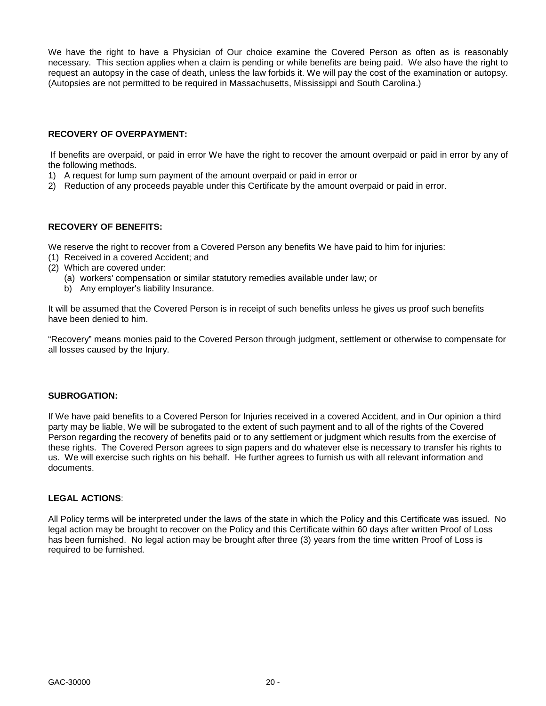We have the right to have a Physician of Our choice examine the Covered Person as often as is reasonably necessary. This section applies when a claim is pending or while benefits are being paid. We also have the right to request an autopsy in the case of death, unless the law forbids it. We will pay the cost of the examination or autopsy. (Autopsies are not permitted to be required in Massachusetts, Mississippi and South Carolina.)

## **RECOVERY OF OVERPAYMENT:**

If benefits are overpaid, or paid in error We have the right to recover the amount overpaid or paid in error by any of the following methods.

- 1) A request for lump sum payment of the amount overpaid or paid in error or
- 2) Reduction of any proceeds payable under this Certificate by the amount overpaid or paid in error.

## **RECOVERY OF BENEFITS:**

We reserve the right to recover from a Covered Person any benefits We have paid to him for injuries:

- (1) Received in a covered Accident; and
- (2) Which are covered under:
	- (a) workers' compensation or similar statutory remedies available under law; or
	- b) Any employer's liability Insurance.

It will be assumed that the Covered Person is in receipt of such benefits unless he gives us proof such benefits have been denied to him.

"Recovery" means monies paid to the Covered Person through judgment, settlement or otherwise to compensate for all losses caused by the Injury.

### **SUBROGATION:**

If We have paid benefits to a Covered Person for Injuries received in a covered Accident, and in Our opinion a third party may be liable, We will be subrogated to the extent of such payment and to all of the rights of the Covered Person regarding the recovery of benefits paid or to any settlement or judgment which results from the exercise of these rights. The Covered Person agrees to sign papers and do whatever else is necessary to transfer his rights to us. We will exercise such rights on his behalf. He further agrees to furnish us with all relevant information and documents.

### **LEGAL ACTIONS**:

All Policy terms will be interpreted under the laws of the state in which the Policy and this Certificate was issued. No legal action may be brought to recover on the Policy and this Certificate within 60 days after written Proof of Loss has been furnished. No legal action may be brought after three (3) years from the time written Proof of Loss is required to be furnished.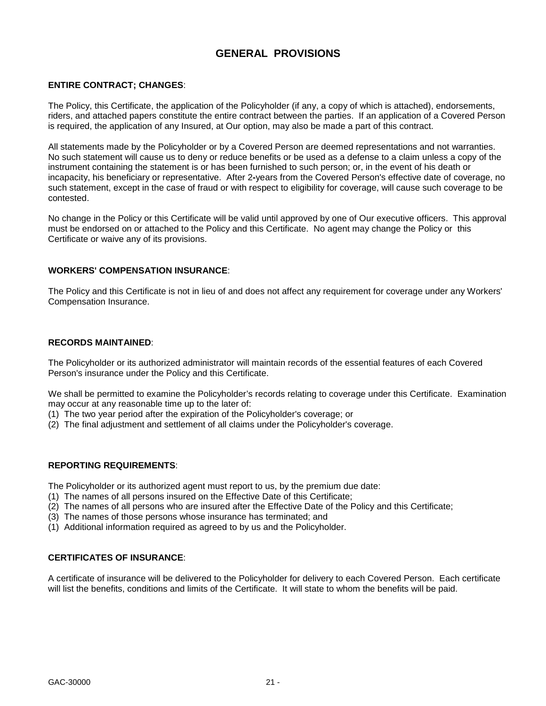## **GENERAL PROVISIONS**

## <span id="page-20-0"></span>**ENTIRE CONTRACT; CHANGES**:

The Policy, this Certificate, the application of the Policyholder (if any, a copy of which is attached), endorsements, riders, and attached papers constitute the entire contract between the parties. If an application of a Covered Person is required, the application of any Insured, at Our option, may also be made a part of this contract.

All statements made by the Policyholder or by a Covered Person are deemed representations and not warranties. No such statement will cause us to deny or reduce benefits or be used as a defense to a claim unless a copy of the instrument containing the statement is or has been furnished to such person; or, in the event of his death or incapacity, his beneficiary or representative. After 2**-**years from the Covered Person's effective date of coverage, no such statement, except in the case of fraud or with respect to eligibility for coverage, will cause such coverage to be contested.

No change in the Policy or this Certificate will be valid until approved by one of Our executive officers. This approval must be endorsed on or attached to the Policy and this Certificate. No agent may change the Policy or this Certificate or waive any of its provisions.

### **WORKERS' COMPENSATION INSURANCE**:

The Policy and this Certificate is not in lieu of and does not affect any requirement for coverage under any Workers' Compensation Insurance.

### **RECORDS MAINTAINED**:

The Policyholder or its authorized administrator will maintain records of the essential features of each Covered Person's insurance under the Policy and this Certificate.

We shall be permitted to examine the Policyholder's records relating to coverage under this Certificate. Examination may occur at any reasonable time up to the later of:

- (1) The two year period after the expiration of the Policyholder's coverage; or
- (2) The final adjustment and settlement of all claims under the Policyholder's coverage.

## **REPORTING REQUIREMENTS**:

The Policyholder or its authorized agent must report to us, by the premium due date:

- (1) The names of all persons insured on the Effective Date of this Certificate;
- (2) The names of all persons who are insured after the Effective Date of the Policy and this Certificate;
- (3) The names of those persons whose insurance has terminated; and
- (1) Additional information required as agreed to by us and the Policyholder.

### **CERTIFICATES OF INSURANCE**:

A certificate of insurance will be delivered to the Policyholder for delivery to each Covered Person. Each certificate will list the benefits, conditions and limits of the Certificate. It will state to whom the benefits will be paid.